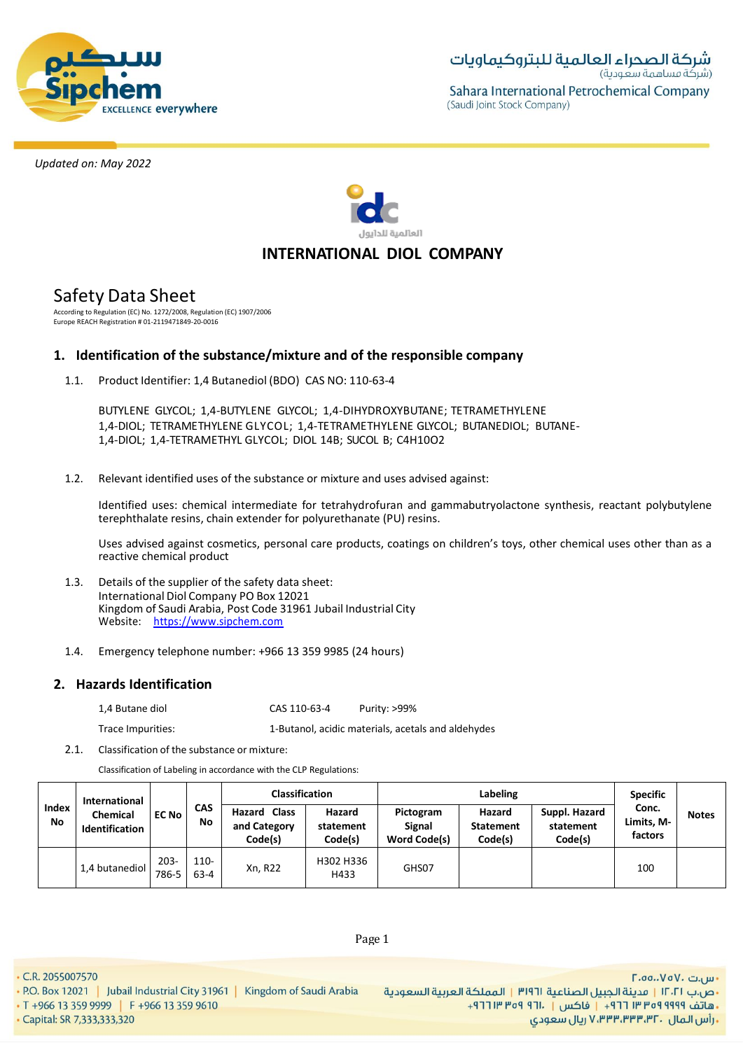



# **INTERNATIONAL DIOL COMPANY**

# Safety Data Sheet

According to Regulation (EC) No. 1272/2008, Regulation (EC) 1907/2006 Europe REACH Registration # 01-2119471849-20-0016

# **1. Identification of the substance/mixture and of the responsible company**

1.1. Product Identifier: 1,4 Butanediol (BDO) CAS NO: 110-63-4

BUTYLENE GLYCOL; 1,4-BUTYLENE GLYCOL; 1,4-DIHYDROXYBUTANE; TETRAMETHYLENE 1,4-DIOL; TETRAMETHYLENE GLYCOL; 1,4-TETRAMETHYLENE GLYCOL; BUTANEDIOL; BUTANE-1,4-DIOL; 1,4-TETRAMETHYL GLYCOL; DIOL 14B; SUCOL B; C4H10O2

1.2. Relevant identified uses of the substance or mixture and uses advised against:

Identified uses: chemical intermediate for tetrahydrofuran and gammabutryolactone synthesis, reactant polybutylene terephthalate resins, chain extender for polyurethanate (PU) resins.

Uses advised against cosmetics, personal care products, coatings on children's toys, other chemical uses other than as a reactive chemical product

- 1.3. Details of the supplier of the safety data sheet: International Diol Company PO Box 12021 Kingdom of Saudi Arabia, Post Code 31961 Jubail Industrial City Website: https://www.sipchem.com
- 1.4. Emergency telephone number: +966 13 359 9985 (24 hours)

# **2. Hazards Identification**

1,4 Butane diol CAS 110-63-4 Purity: >99%

Trace Impurities: 1-Butanol, acidic materials, acetals and aldehydes

2.1. Classification of the substance or mixture:

Classification of Labeling in accordance with the CLP Regulations:

| Index<br>No | International<br><b>Chemical</b><br><b>Identification</b> | <b>EC No</b>     | <b>CAS</b><br>No    | <b>Classification</b>                          |                                |                                            | <b>Specific</b>                       |                                       |                                |              |
|-------------|-----------------------------------------------------------|------------------|---------------------|------------------------------------------------|--------------------------------|--------------------------------------------|---------------------------------------|---------------------------------------|--------------------------------|--------------|
|             |                                                           |                  |                     | <b>Hazard Class</b><br>and Category<br>Code(s) | Hazard<br>statement<br>Code(s) | Pictogram<br><b>Signal</b><br>Word Code(s) | Hazard<br><b>Statement</b><br>Code(s) | Suppl. Hazard<br>statement<br>Code(s) | Conc.<br>Limits. M-<br>factors | <b>Notes</b> |
|             | 1,4 butanediol                                            | $203 -$<br>786-5 | $110 -$<br>$63 - 4$ | Xn, R22                                        | H302 H336<br>H433              | GHS07                                      |                                       |                                       | 100                            |              |

Page 1

• C.R. 2055007570

- Capital: SR 7,333,333,320

• T +966 13 359 9999 | F +966 13 359 9610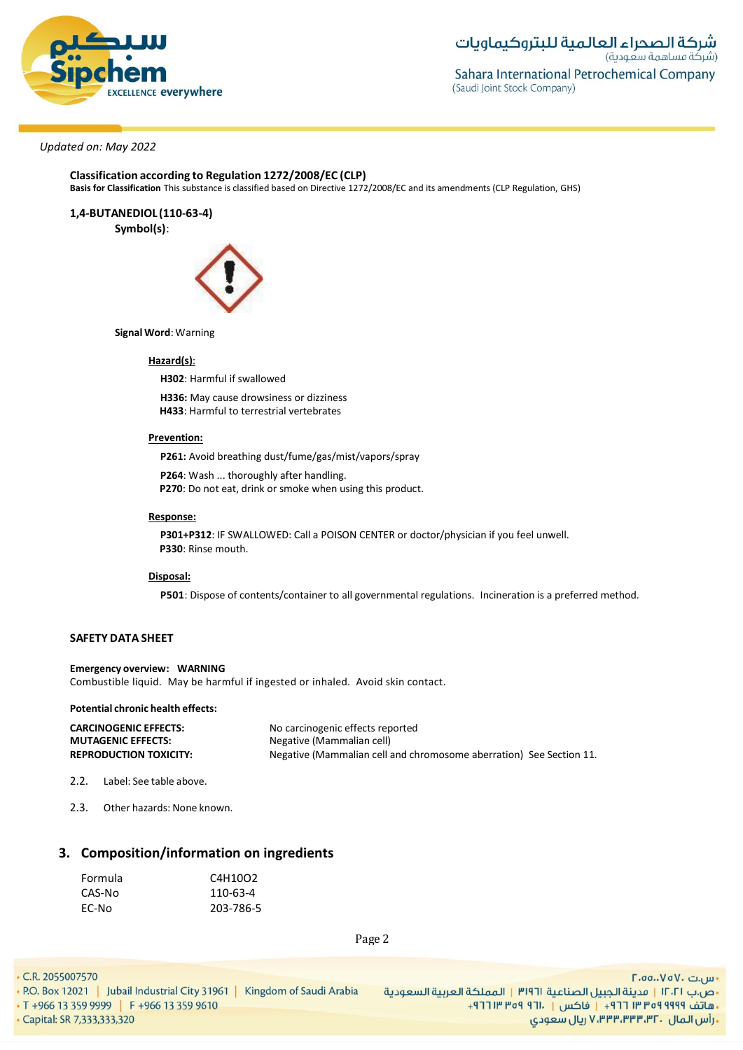

**Classification according to Regulation 1272/2008/EC (CLP)**

**Basis for Classification** This substance is classified based on Directive 1272/2008/EC and its amendments (CLP Regulation, GHS)

**1,4-BUTANEDIOL (110-63-4)**

**Symbol(s)**:



**Signal Word**: Warning

### **Hazard(s)**:

**H302**: Harmful if swallowed

**H336:** May cause drowsiness or dizziness **H433**: Harmful to terrestrial vertebrates

#### **Prevention:**

**P261:** Avoid breathing dust/fume/gas/mist/vapors/spray

**P264**: Wash ... thoroughly after handling.

**P270**: Do not eat, drink or smoke when using this product.

#### **Response:**

**P301+P312**: IF SWALLOWED: Call a POISON CENTER or doctor/physician if you feel unwell. **P330**: Rinse mouth.

#### **Disposal:**

**P501**: Dispose of contents/container to all governmental regulations. Incineration is a preferred method.

### **SAFETY DATA SHEET**

**Emergency overview: WARNING** Combustible liquid. May be harmful if ingested or inhaled. Avoid skin contact.

#### **Potential chronic health effects:**

| <b>CARCINOGENIC EFFECTS:</b>  | No carcinogenic effects reported                                    |
|-------------------------------|---------------------------------------------------------------------|
| <b>MUTAGENIC EFFECTS:</b>     | Negative (Mammalian cell)                                           |
| <b>REPRODUCTION TOXICITY:</b> | Negative (Mammalian cell and chromosome aberration) See Section 11. |

2.2. Label: See table above.

2.3. Other hazards: None known.

# **3. Composition/information on ingredients**

| Formula | C4H10O2   |
|---------|-----------|
| CAS-No  | 110-63-4  |
| EC-No   | 203-786-5 |

Page 2

• C.R. 2055007570

- Capital: SR 7,333,333,320

<mark>۰</mark>٬۵۵٬۰۷۵۷۰ س. •ص.ب ١٢٠٢١ | مدينة الجبيل الصناعية ٣١٩٦١ | المملكة العربية السعودية +هاتف ٩٩٩٩ ٩٥٩ ٣٣ ٣٦٦ + إ فاكس | ١٣٠١ ٩٥٩ ٣١٢ + ريال سعودي, ۷٬۳۳۳٬۳۳۳٬۳۲۰ ريال سعودي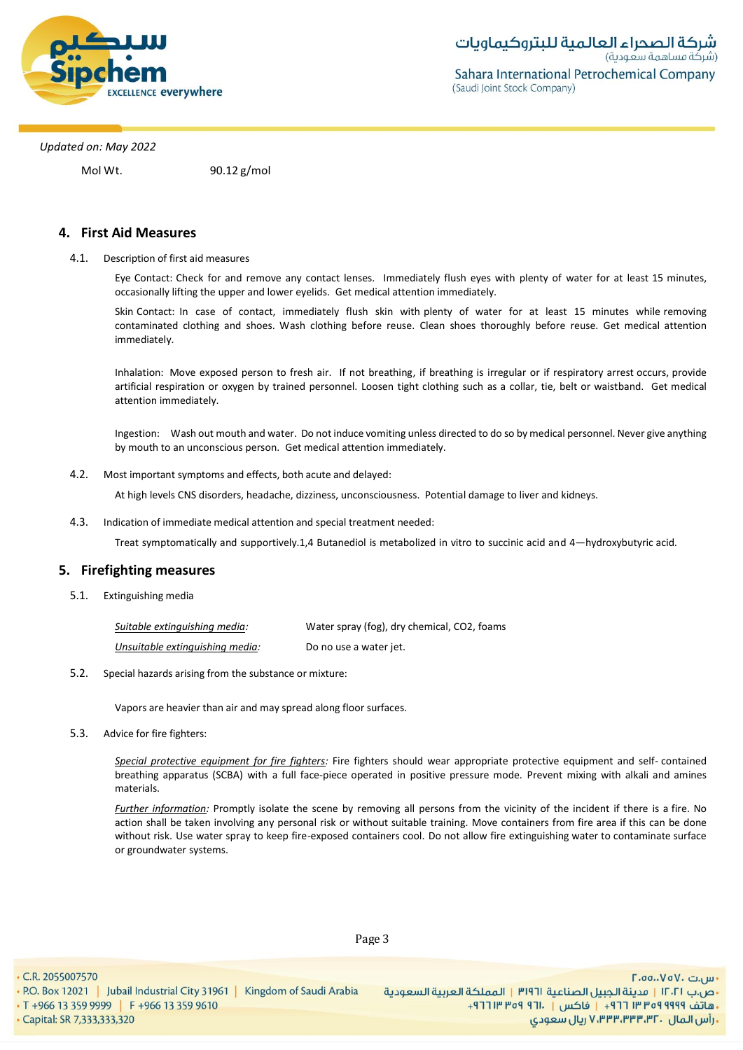

Mol Wt. 90.12 g/mol

## **4. First Aid Measures**

4.1. Description of first aid measures

Eye Contact: Check for and remove any contact lenses. Immediately flush eyes with plenty of water for at least 15 minutes, occasionally lifting the upper and lower eyelids. Get medical attention immediately.

Skin Contact: In case of contact, immediately flush skin with plenty of water for at least 15 minutes while removing contaminated clothing and shoes. Wash clothing before reuse. Clean shoes thoroughly before reuse. Get medical attention immediately.

Inhalation: Move exposed person to fresh air. If not breathing, if breathing is irregular or if respiratory arrest occurs, provide artificial respiration or oxygen by trained personnel. Loosen tight clothing such as a collar, tie, belt or waistband. Get medical attention immediately.

Ingestion: Wash out mouth and water. Do not induce vomiting unless directed to do so by medical personnel. Never give anything by mouth to an unconscious person. Get medical attention immediately.

4.2. Most important symptoms and effects, both acute and delayed:

At high levels CNS disorders, headache, dizziness, unconsciousness. Potential damage to liver and kidneys.

4.3. Indication of immediate medical attention and special treatment needed:

Treat symptomatically and supportively.1,4 Butanediol is metabolized in vitro to succinic acid and 4—hydroxybutyric acid.

### **5. Firefighting measures**

5.1. Extinguishing media

| Suitable extinguishing media:   | Water spray (fog), dry chemical, CO2, foams |
|---------------------------------|---------------------------------------------|
| Unsuitable extinguishing media: | Do no use a water jet.                      |

5.2. Special hazards arising from the substance or mixture:

Vapors are heavier than air and may spread along floor surfaces.

5.3. Advice for fire fighters:

*Special protective equipment for fire fighters:* Fire fighters should wear appropriate protective equipment and self- contained breathing apparatus (SCBA) with a full face-piece operated in positive pressure mode. Prevent mixing with alkali and amines materials.

*Further information:* Promptly isolate the scene by removing all persons from the vicinity of the incident if there is a fire. No action shall be taken involving any personal risk or without suitable training. Move containers from fire area if this can be done without risk. Use water spray to keep fire-exposed containers cool. Do not allow fire extinguishing water to contaminate surface or groundwater systems.

Page 3

• C.R. 2055007570

. P.O. Box 12021 | Jubail Industrial City 31961 | Kingdom of Saudi Arabia

• T +966 13 359 9999 | F +966 13 359 9610 - Capital: SR 7,333,333,320

- س.ت ۷۰۵۰، ۲.۵۵. •ص.ب ١٢٠٢١ | قدينة الحبيل الصناعية ١٣١٩٦ | المملكة العربية السعودية +هاتف ٩٩٩٩ ٩٩٩ ٣٣٣ ٣ ٢٦٢ + إ فاكس | . ١٣١٢ ٩٣٩ ١٣ ٢٦٦ + **, رأس المال ۷٬۳۳۳٬۳۳۳٬۳۲۰ ریال سعودی**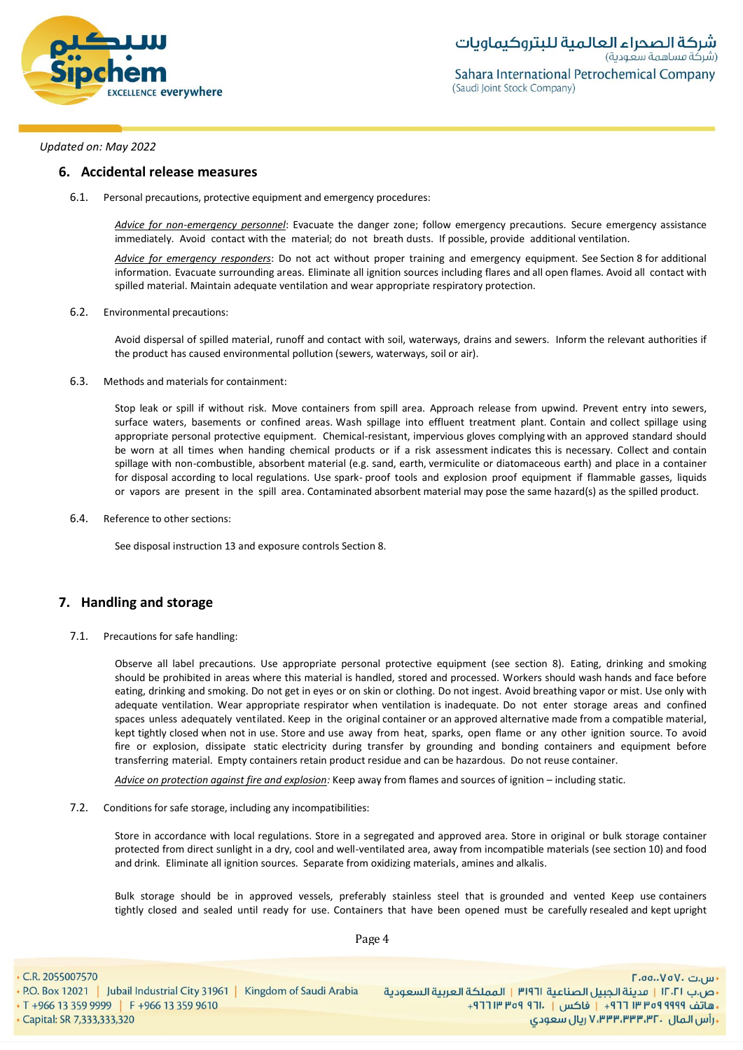

#### **6. Accidental release measures**

6.1. Personal precautions, protective equipment and emergency procedures:

*Advice for non-emergency personnel*: Evacuate the danger zone; follow emergency precautions. Secure emergency assistance immediately. Avoid contact with the material; do not breath dusts. If possible, provide additional ventilation.

*Advice for emergency responders*: Do not act without proper training and emergency equipment. See Section 8 for additional information. Evacuate surrounding areas. Eliminate all ignition sources including flares and all open flames. Avoid all contact with spilled material. Maintain adequate ventilation and wear appropriate respiratory protection.

#### 6.2. Environmental precautions:

Avoid dispersal of spilled material, runoff and contact with soil, waterways, drains and sewers. Inform the relevant authorities if the product has caused environmental pollution (sewers, waterways, soil or air).

6.3. Methods and materials for containment:

Stop leak or spill if without risk. Move containers from spill area. Approach release from upwind. Prevent entry into sewers, surface waters, basements or confined areas. Wash spillage into effluent treatment plant. Contain and collect spillage using appropriate personal protective equipment. Chemical-resistant, impervious gloves complying with an approved standard should be worn at all times when handing chemical products or if a risk assessment indicates this is necessary. Collect and contain spillage with non-combustible, absorbent material (e.g. sand, earth, vermiculite or diatomaceous earth) and place in a container for disposal according to local regulations. Use spark- proof tools and explosion proof equipment if flammable gasses, liquids or vapors are present in the spill area. Contaminated absorbent material may pose the same hazard(s) as the spilled product.

6.4. Reference to other sections:

See disposal instruction 13 and exposure controls Section 8.

### **7. Handling and storage**

7.1. Precautions for safe handling:

Observe all label precautions. Use appropriate personal protective equipment (see section 8). Eating, drinking and smoking should be prohibited in areas where this material is handled, stored and processed. Workers should wash hands and face before eating, drinking and smoking. Do not get in eyes or on skin or clothing. Do not ingest. Avoid breathing vapor or mist. Use only with adequate ventilation. Wear appropriate respirator when ventilation is inadequate. Do not enter storage areas and confined spaces unless adequately ventilated. Keep in the original container or an approved alternative made from a compatible material, kept tightly closed when not in use. Store and use away from heat, sparks, open flame or any other ignition source. To avoid fire or explosion, dissipate static electricity during transfer by grounding and bonding containers and equipment before transferring material. Empty containers retain product residue and can be hazardous. Do not reuse container.

*Advice on protection against fire and explosion:* Keep away from flames and sources of ignition – including static.

7.2. Conditions for safe storage, including any incompatibilities:

Store in accordance with local regulations. Store in a segregated and approved area. Store in original or bulk storage container protected from direct sunlight in a dry, cool and well-ventilated area, away from incompatible materials (see section 10) and food and drink. Eliminate all ignition sources. Separate from oxidizing materials, amines and alkalis.

Bulk storage should be in approved vessels, preferably stainless steel that is grounded and vented Keep use containers tightly closed and sealed until ready for use. Containers that have been opened must be carefully resealed and kept upright

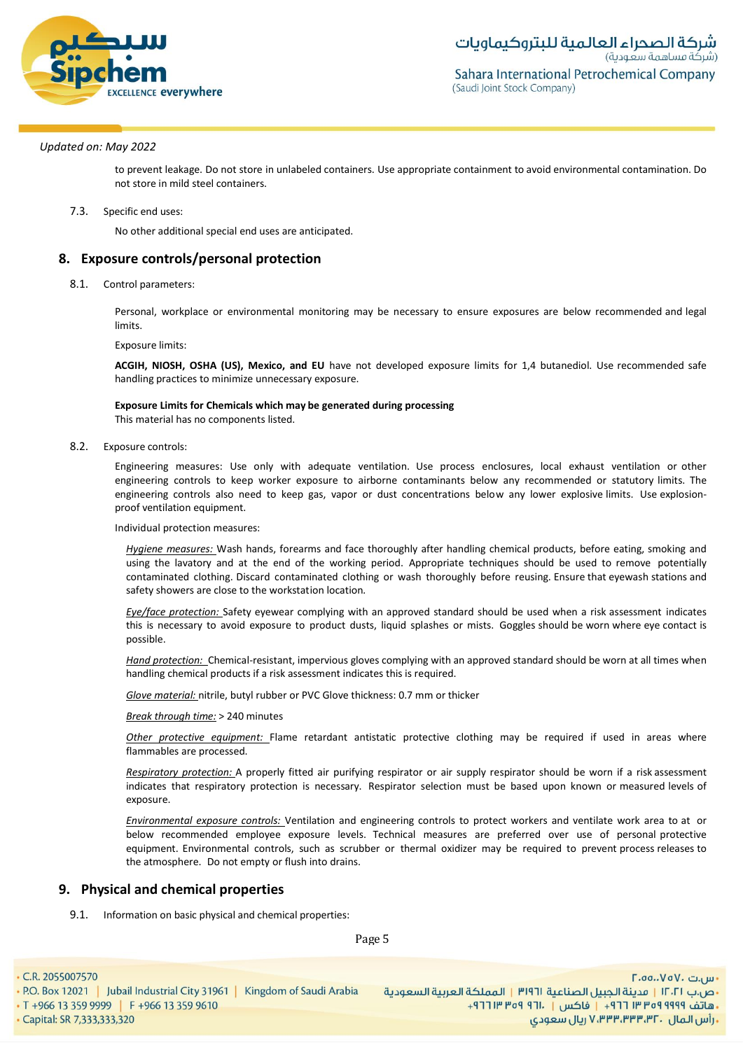

(Saudi Joint Stock Company)

*Updated on: May 2022*

to prevent leakage. Do not store in unlabeled containers. Use appropriate containment to avoid environmental contamination. Do not store in mild steel containers.

7.3. Specific end uses:

No other additional special end uses are anticipated.

### **8. Exposure controls/personal protection**

8.1. Control parameters:

Personal, workplace or environmental monitoring may be necessary to ensure exposures are below recommended and legal limits.

Exposure limits:

**ACGIH, NIOSH, OSHA (US), Mexico, and EU** have not developed exposure limits for 1,4 butanediol. Use recommended safe handling practices to minimize unnecessary exposure.

#### **Exposure Limits for Chemicals which may be generated during processing**

This material has no components listed.

8.2. Exposure controls:

Engineering measures: Use only with adequate ventilation. Use process enclosures, local exhaust ventilation or other engineering controls to keep worker exposure to airborne contaminants below any recommended or statutory limits. The engineering controls also need to keep gas, vapor or dust concentrations below any lower explosive limits. Use explosionproof ventilation equipment.

Individual protection measures:

*Hygiene measures:* Wash hands, forearms and face thoroughly after handling chemical products, before eating, smoking and using the lavatory and at the end of the working period. Appropriate techniques should be used to remove potentially contaminated clothing. Discard contaminated clothing or wash thoroughly before reusing. Ensure that eyewash stations and safety showers are close to the workstation location*.*

*Eye/face protection:* Safety eyewear complying with an approved standard should be used when a risk assessment indicates this is necessary to avoid exposure to product dusts, liquid splashes or mists. Goggles should be worn where eye contact is possible.

*Hand protection:* Chemical-resistant, impervious gloves complying with an approved standard should be worn at all times when handling chemical products if a risk assessment indicates this is required.

*Glove material:* nitrile, butyl rubber or PVC Glove thickness: 0.7 mm or thicker

*Break through time:* > 240 minutes

*Other protective equipment:* Flame retardant antistatic protective clothing may be required if used in areas where flammables are processed.

*Respiratory protection:* A properly fitted air purifying respirator or air supply respirator should be worn if a risk assessment indicates that respiratory protection is necessary. Respirator selection must be based upon known or measured levels of exposure.

*Environmental exposure controls:* Ventilation and engineering controls to protect workers and ventilate work area to at or below recommended employee exposure levels. Technical measures are preferred over use of personal protective equipment. Environmental controls, such as scrubber or thermal oxidizer may be required to prevent process releases to the atmosphere. Do not empty or flush into drains.

### **9. Physical and chemical properties**

9.1. Information on basic physical and chemical properties:

Page 5

- C.R. 2055007570
- P.O. Box 12021 | Jubail Industrial City 31961 | Kingdom of Saudi Arabia • T +966 13 359 9999 | F +966 13 359 9610

- س.ت ۷۰۵۰، ۲.۵۵. •ص.ب ١٢٠٢١ | قدينة الحبيل الصناعية ١٣١٩٦ | المملكة العربية السعودية + هاتف ٩٩٩٩ ٩٥٩ ٣٣ ٣ ٢٦٢ - واكس | . ١٣ ٢٥٩ ٣ ١٣ ٢٦٢ . رأس المال . V،۳۳۳،۳۳۳،۳۲ ريال سعودي

· Capital: SR 7,333,333,320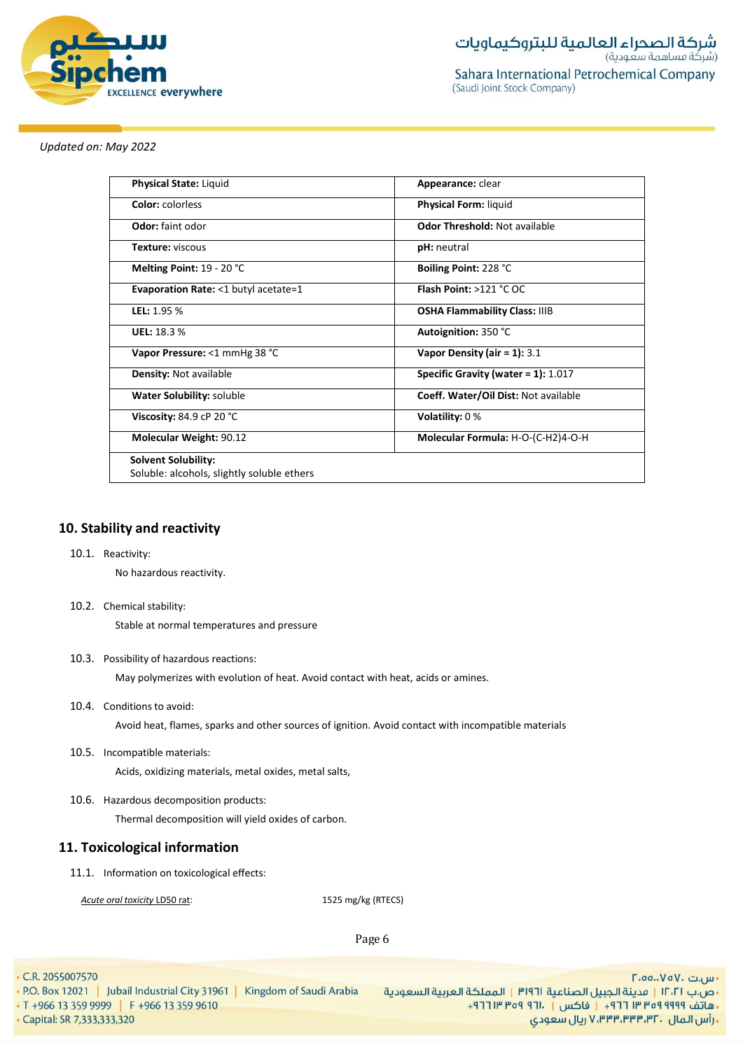

| <b>Physical State: Liquid</b>                  | Appearance: clear                      |
|------------------------------------------------|----------------------------------------|
| <b>Color:</b> colorless                        | <b>Physical Form: liquid</b>           |
| <b>Odor:</b> faint odor                        | <b>Odor Threshold: Not available</b>   |
| <b>Texture: viscous</b>                        | <b>pH</b> : neutral                    |
| Melting Point: 19 - 20 °C                      | Boiling Point: 228 °C                  |
| <b>Evaporation Rate: &lt;1 butyl acetate=1</b> | Flash Point: >121 °C OC                |
| LEL: 1.95 %                                    | <b>OSHA Flammability Class: IIIB</b>   |
| <b>UEL: 18.3 %</b>                             | Autoignition: 350 °C                   |
| Vapor Pressure: <1 mmHg 38 °C                  | Vapor Density (air = 1): $3.1$         |
| <b>Density: Not available</b>                  | Specific Gravity (water = $1$ ): 1.017 |
| Water Solubility: soluble                      | Coeff. Water/Oil Dist: Not available   |
| Viscosity: 84.9 cP 20 °C                       | Volatility: $0\%$                      |
| <b>Molecular Weight: 90.12</b>                 | Molecular Formula: H-O-(C-H2)4-O-H     |
| <b>Solvent Solubility:</b>                     |                                        |
| Soluble: alcohols, slightly soluble ethers     |                                        |

# **10. Stability and reactivity**

10.1. Reactivity:

No hazardous reactivity.

10.2. Chemical stability:

Stable at normal temperatures and pressure

10.3. Possibility of hazardous reactions:

May polymerizes with evolution of heat. Avoid contact with heat, acids or amines.

10.4. Conditions to avoid:

Avoid heat, flames, sparks and other sources of ignition. Avoid contact with incompatible materials

10.5. Incompatible materials:

Acids, oxidizing materials, metal oxides, metal salts,

10.6. Hazardous decomposition products:

Thermal decomposition will yield oxides of carbon.

# **11. Toxicological information**

11.1. Information on toxicological effects:

*Acute oral toxicity* LD50 rat: 1525 mg/kg (RTECS)

Page 6

<sup>•</sup> C.R. 2055007570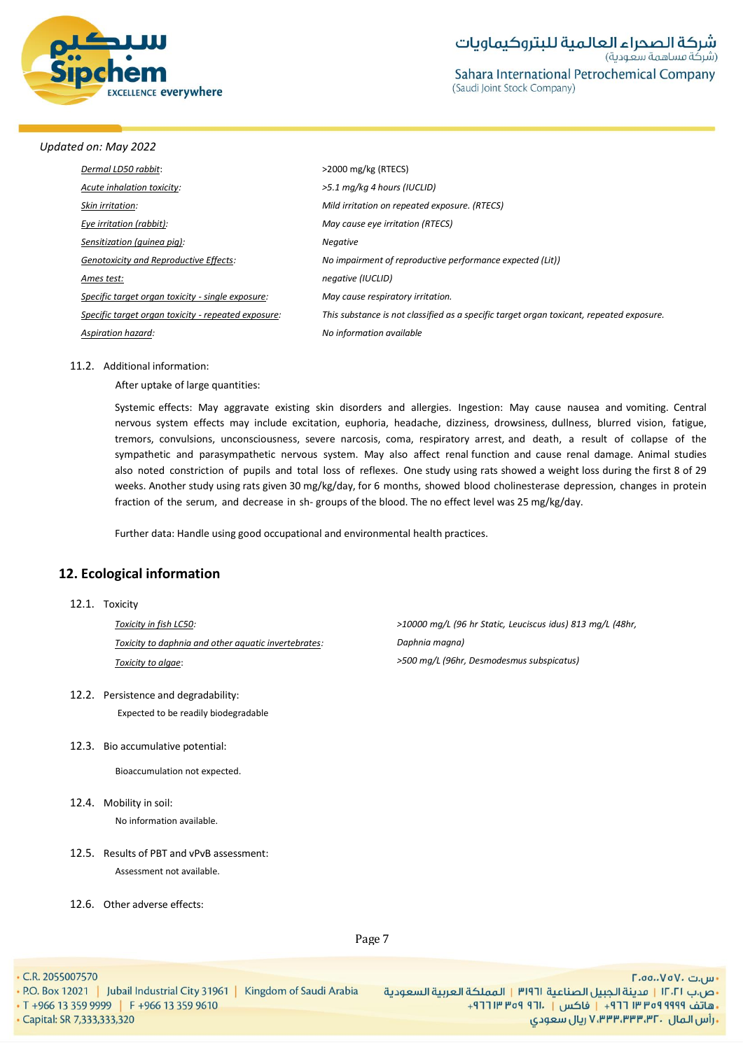

| Dermal LD50 rabbit:                                 | $>$ 2000 mg/kg (RTECS)                                                                   |
|-----------------------------------------------------|------------------------------------------------------------------------------------------|
| Acute inhalation toxicity:                          | >5.1 mg/kg 4 hours (IUCLID)                                                              |
| Skin irritation:                                    | Mild irritation on repeated exposure. (RTECS)                                            |
| Eye irritation (rabbit):                            | May cause eye irritation (RTECS)                                                         |
| Sensitization (quinea piq):                         | <b>Negative</b>                                                                          |
| <b>Genotoxicity and Reproductive Effects:</b>       | No impairment of reproductive performance expected (Lit))                                |
| Ames test:                                          | negative (IUCLID)                                                                        |
| Specific target organ toxicity - single exposure:   | May cause respiratory irritation.                                                        |
| Specific target organ toxicity - repeated exposure: | This substance is not classified as a specific target organ toxicant, repeated exposure. |
| Aspiration hazard:                                  | No information available                                                                 |
|                                                     |                                                                                          |

#### 11.2. Additional information:

After uptake of large quantities:

Systemic effects: May aggravate existing skin disorders and allergies. Ingestion: May cause nausea and vomiting. Central nervous system effects may include excitation, euphoria, headache, dizziness, drowsiness, dullness, blurred vision, fatigue, tremors, convulsions, unconsciousness, severe narcosis, coma, respiratory arrest, and death, a result of collapse of the sympathetic and parasympathetic nervous system. May also affect renal function and cause renal damage. Animal studies also noted constriction of pupils and total loss of reflexes. One study using rats showed a weight loss during the first 8 of 29 weeks. Another study using rats given 30 mg/kg/day, for 6 months, showed blood cholinesterase depression, changes in protein fraction of the serum, and decrease in sh- groups of the blood. The no effect level was 25 mg/kg/day.

Further data: Handle using good occupational and environmental health practices.

# **12. Ecological information**

#### 12.1. Toxicity

*Toxicity in fish LC50: Toxicity to daphnia and other aquatic invertebrates: Toxicity to algae*:

- 12.2. Persistence and degradability: Expected to be readily biodegradable
- 12.3. Bio accumulative potential:

Bioaccumulation not expected.

- 12.4. Mobility in soil: No information available.
- 12.5. Results of PBT and vPvB assessment: Assessment not available.
- 12.6. Other adverse effects:

*>10000 mg/L (96 hr Static, Leuciscus idus) 813 mg/L (48hr, Daphnia magna) >500 mg/L (96hr, Desmodesmus subspicatus)*

Page 7

 $\cdot$  C.R. 2055007570

. P.O. Box 12021 | Jubail Industrial City 31961 | Kingdom of Saudi Arabia • T +966 13 359 9999 | F +966 13 359 9610

- Capital: SR 7,333,333,320

<mark>۰</mark>٬۵۵٬۰۷۵۷۰ س. •ص.ب ١٢٠٢١ | مدينة الجبيل الصناعية ٣١٩٦١ | المملكة العربية السعودية + هاتف ٩٩٩٩ ٩٥٩ ٣٣ ٣ ٢٩ + ١ فاكس | ٢٦٠١- ٣٥٩ ٣ ٢٦٢+ ريال سعودي, ۷٬۳۳۳٬۳۳۴٬۳۲۰ ريال سعودي,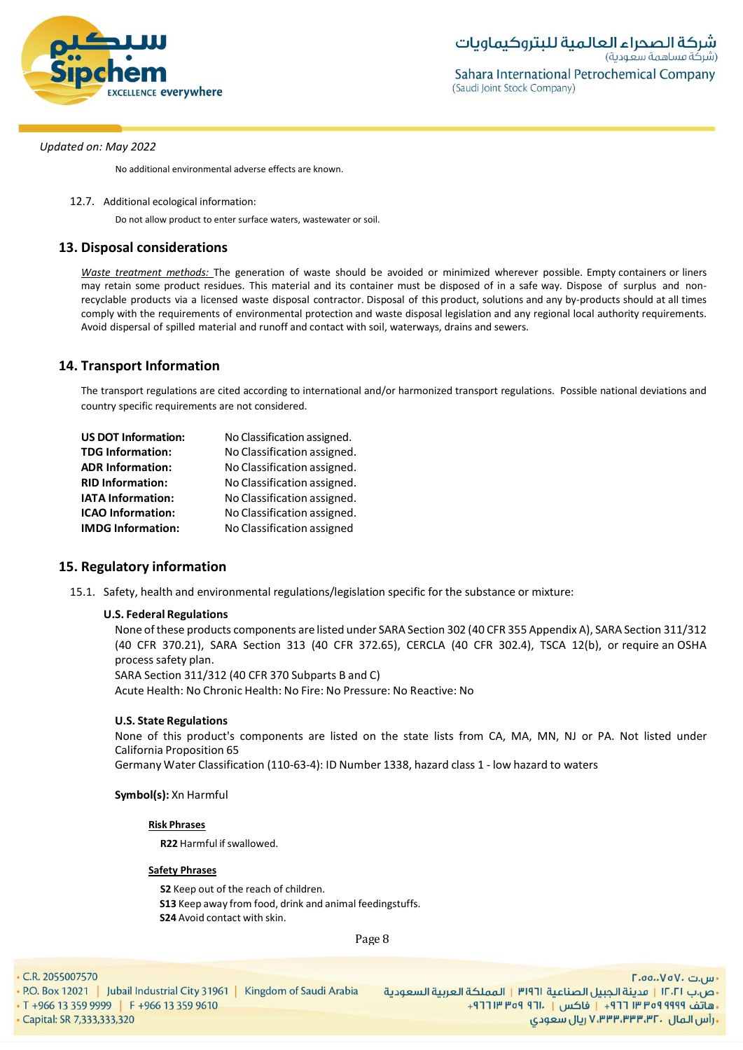

No additional environmental adverse effects are known.

12.7. Additional ecological information:

Do not allow product to enter surface waters, wastewater or soil.

# **13. Disposal considerations**

*Waste treatment methods:* The generation of waste should be avoided or minimized wherever possible. Empty containers or liners may retain some product residues. This material and its container must be disposed of in a safe way. Dispose of surplus and nonrecyclable products via a licensed waste disposal contractor. Disposal of this product, solutions and any by-products should at all times comply with the requirements of environmental protection and waste disposal legislation and any regional local authority requirements. Avoid dispersal of spilled material and runoff and contact with soil, waterways, drains and sewers.

### **14. Transport Information**

The transport regulations are cited according to international and/or harmonized transport regulations. Possible national deviations and country specific requirements are not considered.

| <b>US DOT Information:</b> | No Classification assigned. |
|----------------------------|-----------------------------|
| <b>TDG Information:</b>    | No Classification assigned. |
| <b>ADR Information:</b>    | No Classification assigned. |
| <b>RID Information:</b>    | No Classification assigned. |
| <b>IATA Information:</b>   | No Classification assigned. |
| <b>ICAO Information:</b>   | No Classification assigned. |
| <b>IMDG Information:</b>   | No Classification assigned  |

## **15. Regulatory information**

15.1. Safety, health and environmental regulations/legislation specific for the substance or mixture:

### **U.S. Federal Regulations**

None ofthese products components are listed under SARA Section 302 (40 CFR 355 Appendix A), SARA Section 311/312 (40 CFR 370.21), SARA Section 313 (40 CFR 372.65), CERCLA (40 CFR 302.4), TSCA 12(b), or require an OSHA process safety plan.

SARA Section 311/312 (40 CFR 370 Subparts B and C)

Acute Health: No Chronic Health: No Fire: No Pressure: No Reactive: No

### **U.S. State Regulations**

None of this product's components are listed on the state lists from CA, MA, MN, NJ or PA. Not listed under California Proposition 65

Germany Water Classification (110-63-4): ID Number 1338, hazard class 1 - low hazard to waters

### **Symbol(s):** Xn Harmful

### **Risk Phrases**

**R22** Harmful if swallowed.

### **Safety Phrases**

**S2** Keep out of the reach of children. **S13** Keep away from food, drink and animal feedingstuffs. **S24** Avoid contact with skin.

Page 8

 $\cdot$  C.R. 2055007570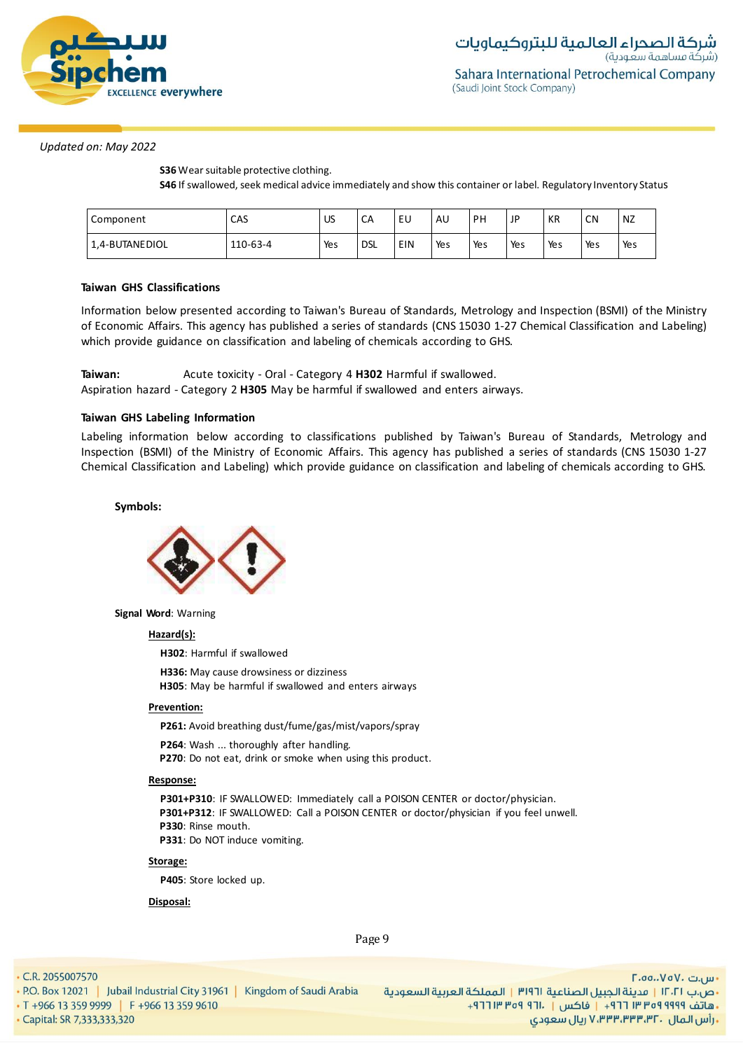

**S36** Wear suitable protective clothing.

**S46** If swallowed,seek medical advice immediately and show this container or label. Regulatory Inventory Status

| Component      | CAS      | US  | CA         | EU  | AU  | P۲  | JP  | KR  | <b>CN</b> | NZ  |
|----------------|----------|-----|------------|-----|-----|-----|-----|-----|-----------|-----|
| 1,4-BUTANEDIOL | 110-63-4 | Yes | <b>DSL</b> | EIN | Yes | Yes | Yes | Yes | Yes       | Yes |

### **Taiwan GHS Classifications**

Information below presented according to Taiwan's Bureau of Standards, Metrology and Inspection (BSMI) of the Ministry of Economic Affairs. This agency has published a series of standards (CNS 15030 1-27 Chemical Classification and Labeling) which provide guidance on classification and labeling of chemicals according to GHS.

| Taiwan: | Acute toxicity - Oral - Category 4 H302 Harmful if swallowed.                       |
|---------|-------------------------------------------------------------------------------------|
|         | Aspiration hazard - Category 2 H305 May be harmful if swallowed and enters airways. |

### **Taiwan GHS Labeling Information**

Labeling information below according to classifications published by Taiwan's Bureau of Standards, Metrology and Inspection (BSMI) of the Ministry of Economic Affairs. This agency has published a series of standards (CNS 15030 1-27 Chemical Classification and Labeling) which provide guidance on classification and labeling of chemicals according to GHS.

### **Symbols:**



**Signal Word**: Warning

#### **Hazard(s):**

**H302**: Harmful if swallowed

**H336:** May cause drowsiness or dizziness **H305**: May be harmful if swallowed and enters airways

### **Prevention:**

**P261:** Avoid breathing dust/fume/gas/mist/vapors/spray

**P264**: Wash ... thoroughly after handling. **P270**: Do not eat, drink or smoke when using this product.

#### **Response:**

**P301+P310**: IF SWALLOWED: Immediately call a POISON CENTER or doctor/physician. **P301+P312**: IF SWALLOWED: Call a POISON CENTER or doctor/physician if you feel unwell. **P330**: Rinse mouth. **P331**: Do NOT induce vomiting.

#### **Storage:**

**P405**: Store locked up.

### **Disposal:**

Page 9

• C.R. 2055007570

- P.O. Box 12021 | Jubail Industrial City 31961 | Kingdom of Saudi Arabia • T +966 13 359 9999 | F +966 13 359 9610
- Capital: SR 7,333,333,320